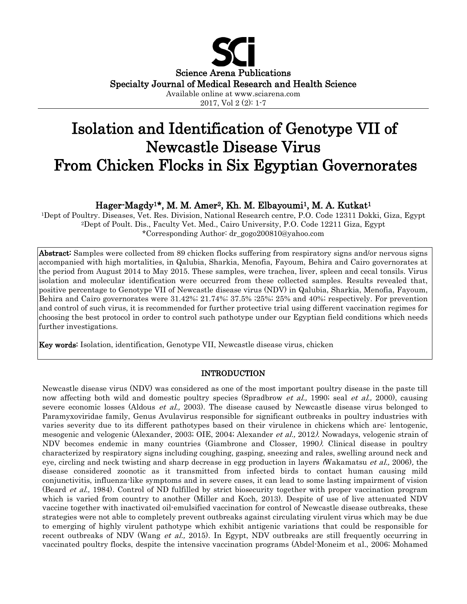

2017, Vol 2 (2): 1-7

# Isolation and Identification of Genotype VII of Newcastle Disease Virus From Chicken Flocks in Six Egyptian Governorates

## Hager-Magdy<sup>1\*</sup>, M. M. Amer<sup>2</sup>, Kh. M. Elbayoumi<sup>1</sup>, M. A. Kutkat<sup>1</sup>

1Dept of Poultry. Diseases, Vet. Res. Division, National Research centre, P.O. Code 12311 Dokki, Giza, Egypt 2Dept of Poult. Dis., Faculty Vet. Med., Cairo University, P.O. Code 12211 Giza, Egypt \*Corresponding Author: dr\_gogo200810@yahoo.com

Abstract: Samples were collected from 89 chicken flocks suffering from respiratory signs and/or nervous signs accompanied with high mortalities, in Qalubia, Sharkia, Menofia, Fayoum, Behira and Cairo governorates at the period from August 2014 to May 2015. These samples, were trachea, liver, spleen and cecal tonsils. Virus isolation and molecular identification were occurred from these collected samples. Results revealed that, positive percentage to Genotype VII of Newcastle disease virus (NDV) in Qalubia, Sharkia, Menofia, Fayoum, Behira and Cairo governorates were 31.42%; 21.74%; 37.5% ;25%; 25% and 40%; respectively. For prevention and control of such virus, it is recommended for further protective trial using different vaccination regimes for choosing the best protocol in order to control such pathotype under our Egyptian field conditions which needs further investigations.

Key words: Isolation, identification, Genotype VII, Newcastle disease virus, chicken

#### INTRODUCTION

Newcastle disease virus (NDV) was considered as one of the most important poultry disease in the paste till now affecting both wild and domestic poultry species (Spradbrow *et al.*, 1990; seal *et al.*, 2000), causing severe economic losses (Aldous *et al.*, 2003). The disease caused by Newcastle disease virus belonged to Paramyxoviridae family, Genus Avulavirus responsible for significant outbreaks in poultry industries with varies severity due to its different pathotypes based on their virulence in chickens which are: lentogenic, mesogenic and velogenic (Alexander, 2003; OIE, 2004; Alexander et al., 2012). Nowadays, velogenic strain of NDV becomes endemic in many countries (Giambrone and Closser, 1990). Clinical disease in poultry characterized by respiratory signs including coughing, gasping, sneezing and rales, swelling around neck and eye, circling and neck twisting and sharp decrease in egg production in layers (Wakamatsu *et al.*, 2006), the disease considered zoonotic as it transmitted from infected birds to contact human causing mild conjunctivitis, influenza-like symptoms and in severe cases, it can lead to some lasting impairment of vision (Beard et al., 1984). Control of ND fulfilled by strict biosecurity together with proper vaccination program which is varied from country to another (Miller and Koch, 2013). Despite of use of live attenuated NDV vaccine together with inactivated oil-emulsified vaccination for control of Newcastle disease outbreaks, these strategies were not able to completely prevent outbreaks against circulating virulent virus which may be due to emerging of highly virulent pathotype which exhibit antigenic variations that could be responsible for recent outbreaks of NDV (Wang *et al.*, 2015). In Egypt, NDV outbreaks are still frequently occurring in vaccinated poultry flocks, despite the intensive vaccination programs (Abdel-Moneim et al., 2006; Mohamed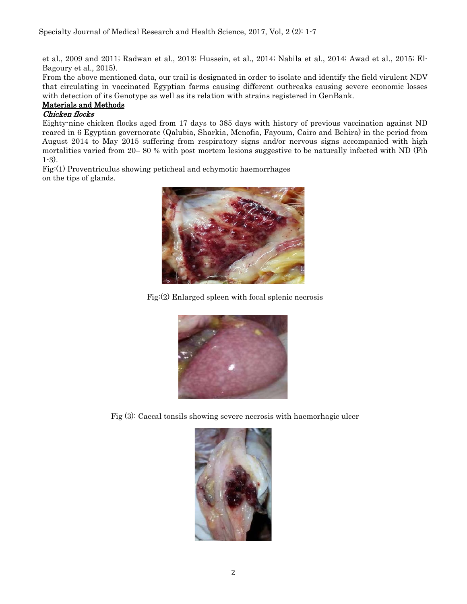et al., 2009 and 2011; Radwan et al., 2013; Hussein, et al., 2014; Nabila et al., 2014; Awad et al., 2015; El-Bagoury et al., 2015).

From the above mentioned data, our trail is designated in order to isolate and identify the field virulent NDV that circulating in vaccinated Egyptian farms causing different outbreaks causing severe economic losses with detection of its Genotype as well as its relation with strains registered in GenBank.

## Materials and Methods

#### Chicken flocks

Eighty-nine chicken flocks aged from 17 days to 385 days with history of previous vaccination against ND reared in 6 Egyptian governorate (Qalubia, Sharkia, Menofia, Fayoum, Cairo and Behira) in the period from August 2014 to May 2015 suffering from respiratory signs and/or nervous signs accompanied with high mortalities varied from 20– 80 % with post mortem lesions suggestive to be naturally infected with ND (Fib 1-3).

Fig:(1) Proventriculus showing peticheal and echymotic haemorrhages on the tips of glands.



Fig:(2) Enlarged spleen with focal splenic necrosis



Fig (3): Caecal tonsils showing severe necrosis with haemorhagic ulcer

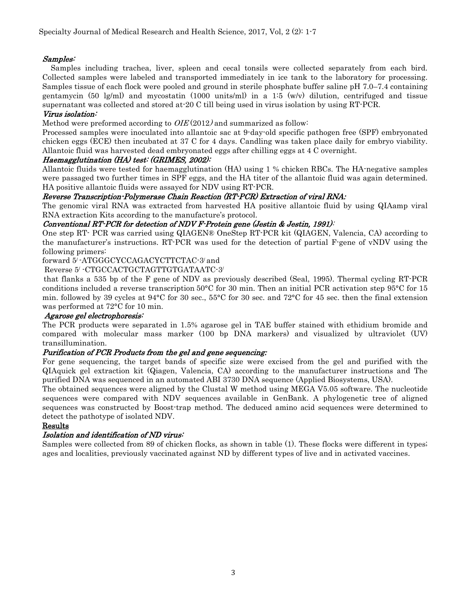#### Samples:

 Samples including trachea, liver, spleen and cecal tonsils were collected separately from each bird. Collected samples were labeled and transported immediately in ice tank to the laboratory for processing. Samples tissue of each flock were pooled and ground in sterile phosphate buffer saline pH 7.0–7.4 containing gentamycin (50 lg/ml) and mycostatin (1000 units/ml) in a 1:5  $(w/v)$  dilution, centrifuged and tissue supernatant was collected and stored at-20 C till being used in virus isolation by using RT-PCR.

#### Virus isolation:

Method were preformed according to  $OIE(2012)$  and summarized as follow:

Processed samples were inoculated into allantoic sac at 9-day-old specific pathogen free (SPF) embryonated chicken eggs (ECE) then incubated at 37 C for 4 days. Candling was taken place daily for embryo viability. Allantoic fluid was harvested dead embryonated eggs after chilling eggs at 4 C overnight.

#### Haemagglutination (HA) test: (GRIMES, 2002):

Allantoic fluids were tested for haemagglutination (HA) using 1 % chicken RBCs. The HA-negative samples were passaged two further times in SPF eggs, and the HA titer of the allantoic fluid was again determined. HA positive allantoic fluids were assayed for NDV using RT-PCR.

#### Reverse Transcription-Polymerase Chain Reaction (RT-PCR) Extraction of viral RNA:

The genomic viral RNA was extracted from harvested HA positive allantoic fluid by using QIAamp viral RNA extraction Kits according to the manufacture's protocol.

#### Conventional RT-PCR for detection of NDV F-Protein gene (Jestin & Jestin, 1991):

One step RT- PCR was carried using QIAGEN® OneStep RT-PCR kit (QIAGEN, Valencia, CA) according to the manufacturer's instructions. RT-PCR was used for the detection of partial F-gene of vNDV using the following primers:

#### forward 5/ -ATGGGCYCCAGACYCTTCTAC-3/ and

Reverse 5/ -CTGCCACTGCTAGTTGTGATAATC-3/

that flanks a 535 bp of the F gene of NDV as previously described (Seal, 1995). Thermal cycling RT-PCR conditions included a reverse transcription 50°C for 30 min. Then an initial PCR activation step 95°C for 15 min. followed by 39 cycles at 94°C for 30 sec., 55°C for 30 sec. and 72°C for 45 sec. then the final extension was performed at 72°C for 10 min.

#### Agarose gel electrophoresis:

The PCR products were separated in 1.5% agarose gel in TAE buffer stained with ethidium bromide and compared with molecular mass marker (100 bp DNA markers) and visualized by ultraviolet (UV) transillumination.

#### Purification of PCR Products from the gel and gene sequencing:

For gene sequencing, the target bands of specific size were excised from the gel and purified with the QIAquick gel extraction kit (Qiagen, Valencia, CA) according to the manufacturer instructions and The purified DNA was sequenced in an automated ABI 3730 DNA sequence (Applied Biosystems, USA).

The obtained sequences were aligned by the Clustal W method using MEGA V5.05 software. The nucleotide sequences were compared with NDV sequences available in GenBank. A phylogenetic tree of aligned sequences was constructed by Boost-trap method. The deduced amino acid sequences were determined to detect the pathotype of isolated NDV.

#### Results

#### Isolation and identification of ND virus:

Samples were collected from 89 of chicken flocks, as shown in table (1). These flocks were different in types; ages and localities, previously vaccinated against ND by different types of live and in activated vaccines.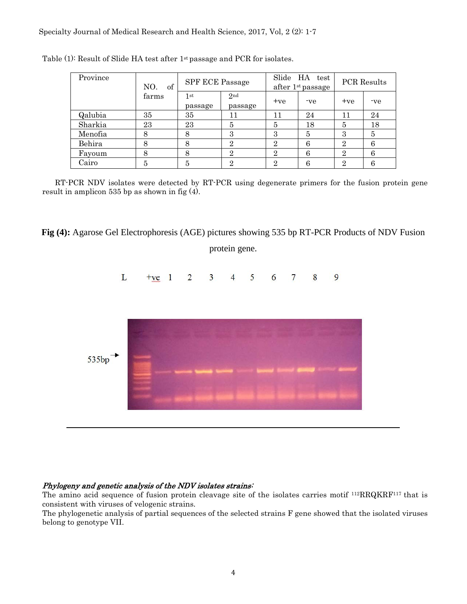| Province | of<br>NO.<br>farms | <b>SPF ECE Passage</b> |                | Slide HA test<br>after $1st$ passage |     | PCR Results    |     |
|----------|--------------------|------------------------|----------------|--------------------------------------|-----|----------------|-----|
|          |                    | 1 st<br>passage        | 2nd<br>passage | $+ve$                                | -ve | $+ve$          | -ve |
| Qalubia  | 35                 | 35                     | 11             | 11                                   | 24  | 11             | 24  |
| Sharkia  | 23                 | 23                     | 5              | 5                                    | 18  | 5              | 18  |
| Menofia  | 8                  | 8                      | 3              | 3                                    | 5   | 3              | 5   |
| Behira   | 8                  | 8                      | $\overline{2}$ | $\overline{2}$                       | 6   | $\overline{2}$ | 6   |
| Fayoum   | 8                  | 8                      | $\overline{2}$ | $\overline{2}$                       | 6   | $\overline{2}$ | 6   |
| Cairo    | 5                  | 5                      | റ              | റ                                    | 6   | $\overline{2}$ | 6   |

Table (1): Result of Slide HA test after 1st passage and PCR for isolates.

 RT-PCR NDV isolates were detected by RT-PCR using degenerate primers for the fusion protein gene result in amplicon 535 bp as shown in fig (4).

**Fig (4):** Agarose Gel Electrophoresis (AGE) pictures showing 535 bp RT-PCR Products of NDV Fusion

protein gene.



### Phylogeny and genetic analysis of the NDV isolates strains:

The amino acid sequence of fusion protein cleavage site of the isolates carries motif 112RRQKRF117 that is consistent with viruses of velogenic strains.

The phylogenetic analysis of partial sequences of the selected strains F gene showed that the isolated viruses belong to genotype VII.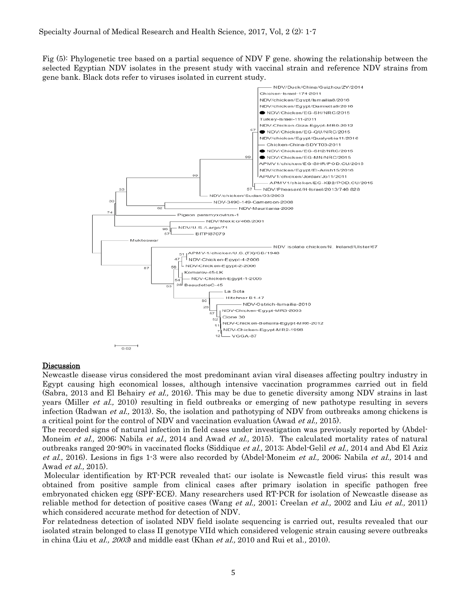Fig (5): Phylogenetic tree based on a partial sequence of NDV F gene. showing the relationship between the selected Egyptian NDV isolates in the present study with vaccinal strain and reference NDV strains from gene bank. Black dots refer to viruses isolated in current study.



#### Discussion

Newcastle disease virus considered the most predominant avian viral diseases affecting poultry industry in Egypt causing high economical losses, although intensive vaccination programmes carried out in field (Sabra, 2013 and El Behairy et al., 2016). This may be due to genetic diversity among NDV strains in last years (Miller *et al.*, 2010) resulting in field outbreaks or emerging of new pathotype resulting in severs infection (Radwan *et al.*, 2013). So, the isolation and pathotyping of NDV from outbreaks among chickens is a critical point for the control of NDV and vaccination evaluation (Awad et al., 2015).

The recorded signs of natural infection in field cases under investigation was previously reported by (Abdel-Moneim et al., 2006; Nabila et al., 2014 and Awad et al., 2015). The calculated mortality rates of natural outbreaks ranged 20-90% in vaccinated flocks (Siddique *et al.*, 2013; Abdel-Gelil *et al.*, 2014 and Abd El Aziz et al., 2016). Lesions in figs 1-3 were also recorded by (Abdel-Moneim et al., 2006; Nabila et al., 2014 and Awad et al., 2015).

Molecular identification by RT-PCR revealed that; our isolate is Newcastle field virus; this result was obtained from positive sample from clinical cases after primary isolation in specific pathogen free embryonated chicken egg (SPF-ECE). Many researchers used RT-PCR for isolation of Newcastle disease as reliable method for detection of positive cases (Wang *et al.*, 2001; Creelan *et al.*, 2002 and Liu *et al.*, 2011) which considered accurate method for detection of NDV.

For relatedness detection of isolated NDV field isolate sequencing is carried out, results revealed that our isolated strain belonged to class II genotype VIId which considered velogenic strain causing severe outbreaks in china (Liu et al., 2003) and middle east (Khan et al., 2010 and Rui et al., 2010).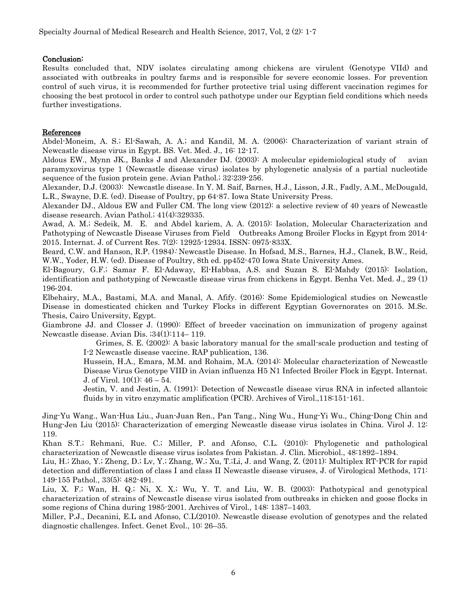#### Conclusion:

Results concluded that, NDV isolates circulating among chickens are virulent (Genotype VIId) and associated with outbreaks in poultry farms and is responsible for severe economic losses. For prevention control of such virus, it is recommended for further protective trial using different vaccination regimes for choosing the best protocol in order to control such pathotype under our Egyptian field conditions which needs further investigations.

#### References

Abdel-Moneim, A. S.; El-Sawah, A. A.; and Kandil, M. A. (2006): Characterization of variant strain of Newcastle disease virus in Egypt. BS. Vet. Med. J., 16: 12-17.

Aldous EW., Mynn JK., Banks J and Alexander DJ. (2003): A molecular epidemiological study of avian paramyxovirus type 1 (Newcastle disease virus) isolates by phylogenetic analysis of a partial nucleotide sequence of the fusion protein gene. Avian Pathol.; 32:239-256.

Alexander, D.J. (2003): Newcastle disease. In Y. M. Saif, Barnes, H.J., Lisson, J.R., Fadly, A.M., McDougald, L.R., Swayne, D.E. (ed). Disease of Poultry, pp 64-87. Iowa State University Press.

Alexander DJ., Aldous EW and Fuller CM. The long view (2012): a selective review of 40 years of Newcastle disease research. Avian Pathol.; 41(4):329335.

Awad, A. M.; Sedeik, M. E. and Abdel kariem, A. A. (2015): Isolation, Molecular Characterization and Pathotyping of Newcastle Disease Viruses from Field Outbreaks Among Broiler Flocks in Egypt from 2014- 2015. Internat. J. of Current Res. 7(2): 12925-12934. ISSN: 0975-833X.

Beard, C.W. and Hanson, R.P. (1984): Newcastle Disease. In Hofsad, M.S., Barnes, H.J., Clanek, B.W., Reid, W.W., Yoder, H.W. (ed). Disease of Poultry, 8th ed. pp452-470 Iowa State University Ames.

El-Bagoury, G.F.; Samar F. El-Adaway, El-Habbaa, A.S. and Suzan S. El-Mahdy (2015): Isolation, identification and pathotyping of Newcastle disease virus from chickens in Egypt. Benha Vet. Med. J., 29 (1) 196‐204.

Elbehairy, M.A., Bastami, M.A. and Manal, A. Afify. (2016): Some Epidemiological studies on Newcastle Disease in domesticated chicken and Turkey Flocks in different Egyptian Governorates on 2015. M.Sc. Thesis, Cairo University, Egypt.

Giambrone JJ. and Closser J. (1990): Effect of breeder vaccination on immunization of progeny against Newcastle disease. Avian Dis. ;34(1):114– 119.

 Grimes, S. E. (2002): A basic laboratory manual for the small-scale production and testing of I-2 Newcastle disease vaccine. RAP publication, 136.

Hussein, H.A., Emara, M.M. and Rohaim, M.A. (2014): Molecular characterization of Newcastle Disease Virus Genotype VIID in Avian influenza H5 N1 Infected Broiler Flock in Egypt. Internat. J. of Virol. 10(1): 46 – 54.

Jestin, V. and Jestin, A. (1991): Detection of Newcastle disease virus RNA in infected allantoic fluids by in vitro enzymatic amplification (PCR). Archives of Virol.,118:151-161.

Jing-Yu Wang., Wan-Hua Liu., Juan-Juan Ren., Pan Tang., Ning Wu., Hung-Yi Wu., Ching-Dong Chin and Hung-Jen Liu (2015): Characterization of emerging Newcastle disease virus isolates in China. Virol J. 12: 119.

Khan S.T.; Rehmani, Rue. C.; Miller, P. and Afonso, C.L. (2010): Phylogenetic and pathological characterization of Newcastle disease virus isolates from Pakistan. J. Clin. Microbiol., 48:1892–1894.

Liu, H.; Zhao, Y.; Zheng, D.; Lv, Y.; Zhang, W.; Xu, T.;Li, J. and Wang, Z. (2011): Multiplex RT-PCR for rapid detection and differentiation of class I and class II Newcastle disease viruses, J. of Virological Methods, 171: 149-155 Pathol., 33(5): 482-491.

Liu, X. F.; Wan, H. Q.; Ni, X. X.; Wu, Y. T. and Liu, W. B. (2003): Pathotypical and genotypical characterization of strains of Newcastle disease virus isolated from outbreaks in chicken and goose flocks in some regions of China during 1985-2001. Archives of Virol., 148: 1387–1403.

Miller, P.J., Decanini, E.L and Afonso, C.L(2010). Newcastle disease evolution of genotypes and the related diagnostic challenges. Infect. Genet Evol., 10: 26–35.